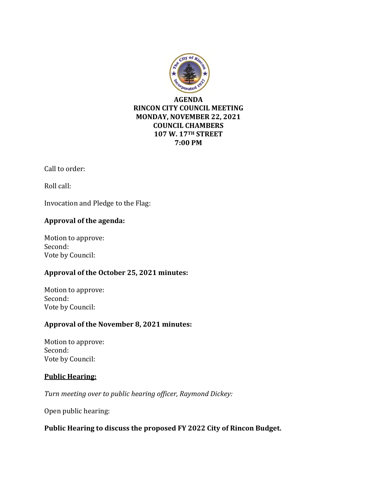

# **RINCON CITY COUNCIL MEETING MONDAY, NOVEMBER 22, 2021 COUNCIL CHAMBERS 107 W. 17TH STREET 7:00 PM**

Call to order:

Roll call:

Invocation and Pledge to the Flag:

## **Approval of the agenda:**

Motion to approve: Second: Vote by Council:

### **Approval of the October 25, 2021 minutes:**

Motion to approve: Second: Vote by Council:

# **Approval of the November 8, 2021 minutes:**

Motion to approve: Second: Vote by Council:

### **Public Hearing:**

*Turn meeting over to public hearing officer, Raymond Dickey:*

Open public hearing:

### **Public Hearing to discuss the proposed FY 2022 City of Rincon Budget.**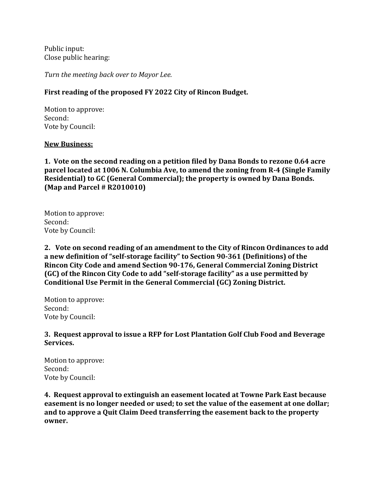Public input: Close public hearing:

*Turn the meeting back over to Mayor Lee.*

### **First reading of the proposed FY 2022 City of Rincon Budget.**

Motion to approve: Second: Vote by Council:

#### **New Business:**

**1. Vote on the second reading on a petition filed by Dana Bonds to rezone 0.64 acre parcel located at 1006 N. Columbia Ave, to amend the zoning from R-4 (Single Family Residential) to GC (General Commercial); the property is owned by Dana Bonds. (Map and Parcel # R2010010)**

Motion to approve: Second: Vote by Council:

**2. Vote on second reading of an amendment to the City of Rincon Ordinances to add a new definition of "self-storage facility" to Section 90-361 (Definitions) of the Rincon City Code and amend Section 90-176, General Commercial Zoning District (GC) of the Rincon City Code to add "self-storage facility" as a use permitted by Conditional Use Permit in the General Commercial (GC) Zoning District.**

Motion to approve: Second: Vote by Council:

**3. Request approval to issue a RFP for Lost Plantation Golf Club Food and Beverage Services.** 

Motion to approve: Second: Vote by Council:

**4. Request approval to extinguish an easement located at Towne Park East because easement is no longer needed or used; to set the value of the easement at one dollar; and to approve a Quit Claim Deed transferring the easement back to the property owner.**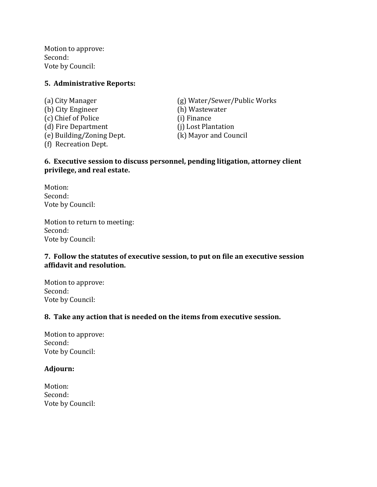Motion to approve: Second: Vote by Council:

### **5. Administrative Reports:**

(b) City Engineer (h) Wastewater (c) Chief of Police (i) Finance (d) Fire Department (j) Lost Plantation (e) Building/Zoning Dept. (k) Mayor and Council (f) Recreation Dept.

(a) City Manager (g) Water/Sewer/Public Works

### **6. Executive session to discuss personnel, pending litigation, attorney client privilege, and real estate.**

Motion: Second: Vote by Council:

Motion to return to meeting: Second: Vote by Council:

### **7. Follow the statutes of executive session, to put on file an executive session affidavit and resolution.**

Motion to approve: Second: Vote by Council:

### **8. Take any action that is needed on the items from executive session.**

Motion to approve: Second: Vote by Council:

### **Adjourn:**

Motion: Second: Vote by Council: